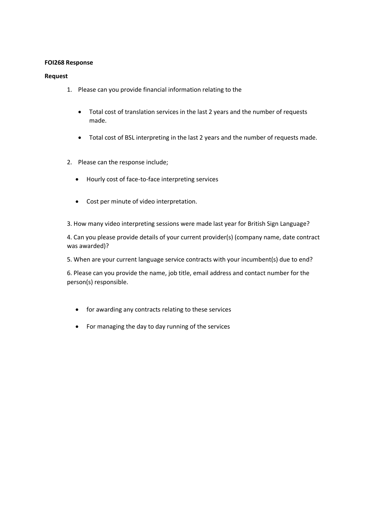## **FOI268 Response**

## **Request**

- 1. Please can you provide financial information relating to the
	- Total cost of translation services in the last 2 years and the number of requests made.
	- Total cost of BSL interpreting in the last 2 years and the number of requests made.
- 2. Please can the response include;
	- Hourly cost of face-to-face interpreting services
	- Cost per minute of video interpretation.
- 3. How many video interpreting sessions were made last year for British Sign Language?

4. Can you please provide details of your current provider(s) (company name, date contract was awarded)?

5. When are your current language service contracts with your incumbent(s) due to end?

6. Please can you provide the name, job title, email address and contact number for the person(s) responsible.

- for awarding any contracts relating to these services
- For managing the day to day running of the services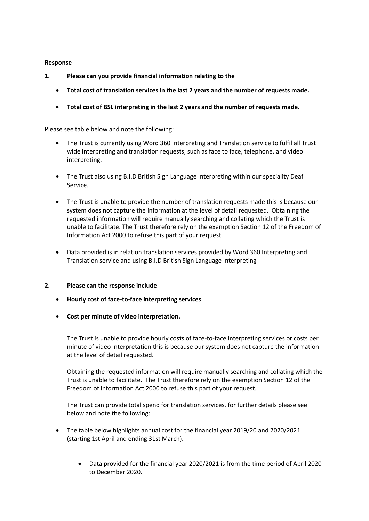## **Response**

- **1. Please can you provide financial information relating to the** 
	- **Total cost of translation services in the last 2 years and the number of requests made.**
	- **Total cost of BSL interpreting in the last 2 years and the number of requests made.**

Please see table below and note the following:

- The Trust is currently using Word 360 Interpreting and Translation service to fulfil all Trust wide interpreting and translation requests, such as face to face, telephone, and video interpreting.
- The Trust also using B.I.D British Sign Language Interpreting within our speciality Deaf Service.
- The Trust is unable to provide the number of translation requests made this is because our system does not capture the information at the level of detail requested. Obtaining the requested information will require manually searching and collating which the Trust is unable to facilitate. The Trust therefore rely on the exemption Section 12 of the Freedom of Information Act 2000 to refuse this part of your request.
- Data provided is in relation translation services provided by Word 360 Interpreting and Translation service and using B.I.D British Sign Language Interpreting

## **2. Please can the response include**

- **Hourly cost of face-to-face interpreting services**
- **Cost per minute of video interpretation.**

The Trust is unable to provide hourly costs of face-to-face interpreting services or costs per minute of video interpretation this is because our system does not capture the information at the level of detail requested.

Obtaining the requested information will require manually searching and collating which the Trust is unable to facilitate. The Trust therefore rely on the exemption Section 12 of the Freedom of Information Act 2000 to refuse this part of your request.

The Trust can provide total spend for translation services, for further details please see below and note the following:

- The table below highlights annual cost for the financial year 2019/20 and 2020/2021 (starting 1st April and ending 31st March).
	- Data provided for the financial year 2020/2021 is from the time period of April 2020 to December 2020.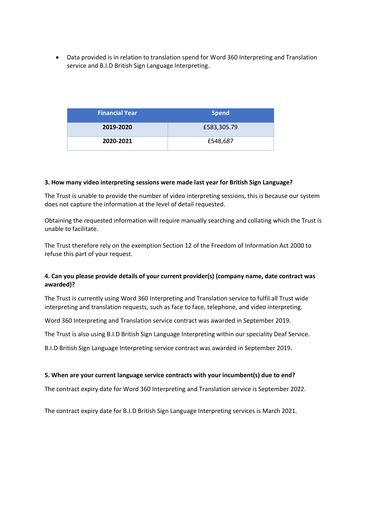• Data provided is in relation to translation spend for Word 360 Interpreting and Translation service and B.I.D British Sign Language Interpreting.

| <b>Financial Year</b> | <b>Spend</b> |
|-----------------------|--------------|
| 2019-2020             | £583,305.79  |
| 2020-2021             | £548,687     |

#### **3. How many video interpreting sessions were made last year for British Sign Language?**

The Trust is unable to provide the number of video interpreting sessions, this is because our system does not capture the information at the level of detail requested.

Obtaining the requested information will require manually searching and collating which the Trust is unable to facilitate.

The Trust therefore rely on the exemption Section 12 of the Freedom of Information Act 2000 to refuse this part of your request.

# **4. Can you please provide details of your current provider(s) (company name, date contract was awarded)?**

The Trust is currently using Word 360 Interpreting and Translation service to fulfil all Trust wide interpreting and translation requests, such as face to face, telephone, and video interpreting.

Word 360 Interpreting and Translation service contract was awarded in September 2019.

The Trust is also using B.I.D British Sign Language Interpreting within our speciality Deaf Service.

B.I.D British Sign Language Interpreting service contract was awarded in September 2019.

## **5. When are your current language service contracts with your incumbent(s) due to end?**

The contract expiry date for Word 360 Interpreting and Translation service is September 2022.

The contract expiry date for B.I.D British Sign Language Interpreting services is March 2021.